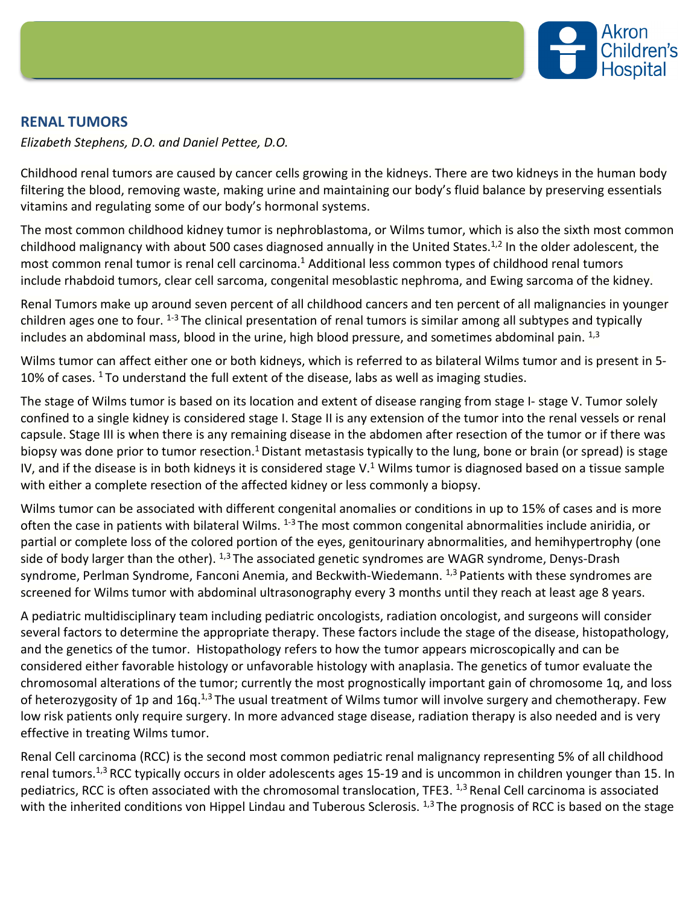

## **RENAL TUMORS**

*Elizabeth Stephens, D.O. and Daniel Pettee, D.O.*

Childhood renal tumors are caused by cancer cells growing in the kidneys. There are two kidneys in the human body filtering the blood, removing waste, making urine and maintaining our body's fluid balance by preserving essentials vitamins and regulating some of our body's hormonal systems.

The most common childhood kidney tumor is nephroblastoma, or Wilms tumor, which is also the sixth most common childhood malignancy with about 500 cases diagnosed annually in the United States.<sup>1,2</sup> In the older adolescent, the most common renal tumor is renal cell carcinoma.<sup>1</sup> Additional less common types of childhood renal tumors include rhabdoid tumors, clear cell sarcoma, congenital mesoblastic nephroma, and Ewing sarcoma of the kidney.

Renal Tumors make up around seven percent of all childhood cancers and ten percent of all malignancies in younger children ages one to four.  $1-3$  The clinical presentation of renal tumors is similar among all subtypes and typically includes an abdominal mass, blood in the urine, high blood pressure, and sometimes abdominal pain.  $^{1,3}$ 

Wilms tumor can affect either one or both kidneys, which is referred to as bilateral Wilms tumor and is present in 5- 10% of cases.  $1$  To understand the full extent of the disease, labs as well as imaging studies.

The stage of Wilms tumor is based on its location and extent of disease ranging from stage I- stage V. Tumor solely confined to a single kidney is considered stage I. Stage II is any extension of the tumor into the renal vessels or renal capsule. Stage III is when there is any remaining disease in the abdomen after resection of the tumor or if there was biopsy was done prior to tumor resection.<sup>1</sup> Distant metastasis typically to the lung, bone or brain (or spread) is stage IV, and if the disease is in both kidneys it is considered stage V.<sup>1</sup> Wilms tumor is diagnosed based on a tissue sample with either a complete resection of the affected kidney or less commonly a biopsy.

Wilms tumor can be associated with different congenital anomalies or conditions in up to 15% of cases and is more often the case in patients with bilateral Wilms. <sup>1-3</sup> The most common congenital abnormalities include aniridia, or partial or complete loss of the colored portion of the eyes, genitourinary abnormalities, and hemihypertrophy (one side of body larger than the other).  $^{1,3}$  The associated genetic syndromes are WAGR syndrome, Denys-Drash syndrome, Perlman Syndrome, Fanconi Anemia, and Beckwith-Wiedemann. <sup>1,3</sup> Patients with these syndromes are screened for Wilms tumor with abdominal ultrasonography every 3 months until they reach at least age 8 years.

A pediatric multidisciplinary team including pediatric oncologists, radiation oncologist, and surgeons will consider several factors to determine the appropriate therapy. These factors include the stage of the disease, histopathology, and the genetics of the tumor. Histopathology refers to how the tumor appears microscopically and can be considered either favorable histology or unfavorable histology with anaplasia. The genetics of tumor evaluate the chromosomal alterations of the tumor; currently the most prognostically important gain of chromosome 1q, and loss of heterozygosity of 1p and 16q.<sup>1,3</sup> The usual treatment of Wilms tumor will involve surgery and chemotherapy. Few low risk patients only require surgery. In more advanced stage disease, radiation therapy is also needed and is very effective in treating Wilms tumor.

Renal Cell carcinoma (RCC) is the second most common pediatric renal malignancy representing 5% of all childhood renal tumors.<sup>1,3</sup> RCC typically occurs in older adolescents ages 15-19 and is uncommon in children younger than 15. In pediatrics, RCC is often associated with the chromosomal translocation, TFE3. 1,3 Renal Cell carcinoma is associated with the inherited conditions von Hippel Lindau and Tuberous Sclerosis.  $1,3$  The prognosis of RCC is based on the stage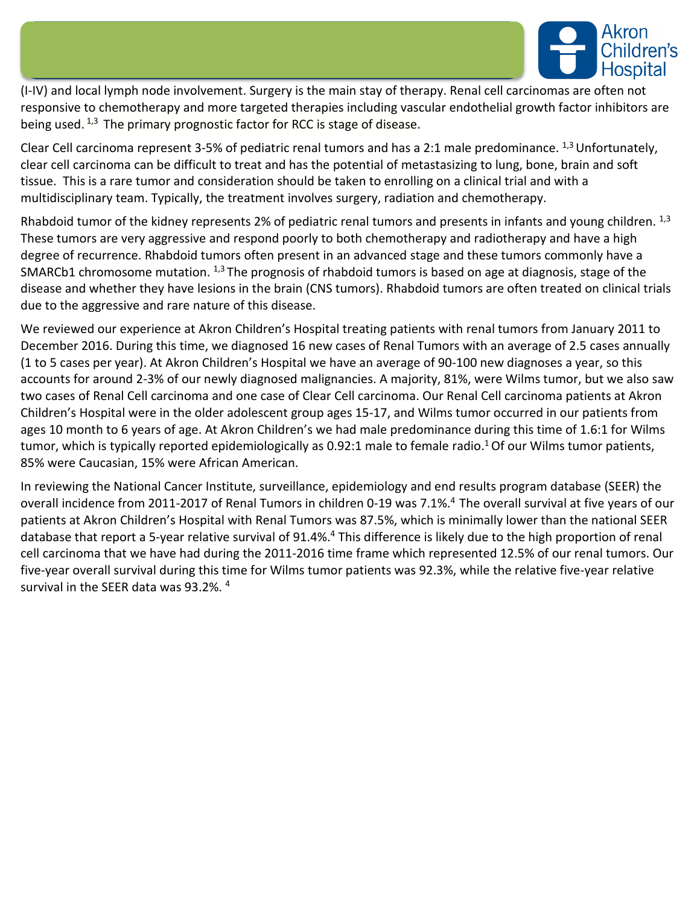

(I-IV) and local lymph node involvement. Surgery is the main stay of therapy. Renal cell carcinomas are often not responsive to chemotherapy and more targeted therapies including vascular endothelial growth factor inhibitors are being used.  $1,3$  The primary prognostic factor for RCC is stage of disease.

Clear Cell carcinoma represent 3-5% of pediatric renal tumors and has a 2:1 male predominance.  $^{1,3}$  Unfortunately, clear cell carcinoma can be difficult to treat and has the potential of metastasizing to lung, bone, brain and soft tissue. This is a rare tumor and consideration should be taken to enrolling on a clinical trial and with a multidisciplinary team. Typically, the treatment involves surgery, radiation and chemotherapy.

Rhabdoid tumor of the kidney represents 2% of pediatric renal tumors and presents in infants and young children.  $^{1,3}$ These tumors are very aggressive and respond poorly to both chemotherapy and radiotherapy and have a high degree of recurrence. Rhabdoid tumors often present in an advanced stage and these tumors commonly have a SMARCb1 chromosome mutation. <sup>1,3</sup> The prognosis of rhabdoid tumors is based on age at diagnosis, stage of the disease and whether they have lesions in the brain (CNS tumors). Rhabdoid tumors are often treated on clinical trials due to the aggressive and rare nature of this disease.

We reviewed our experience at Akron Children's Hospital treating patients with renal tumors from January 2011 to December 2016. During this time, we diagnosed 16 new cases of Renal Tumors with an average of 2.5 cases annually (1 to 5 cases per year). At Akron Children's Hospital we have an average of 90-100 new diagnoses a year, so this accounts for around 2-3% of our newly diagnosed malignancies. A majority, 81%, were Wilms tumor, but we also saw two cases of Renal Cell carcinoma and one case of Clear Cell carcinoma. Our Renal Cell carcinoma patients at Akron Children's Hospital were in the older adolescent group ages 15-17, and Wilms tumor occurred in our patients from ages 10 month to 6 years of age. At Akron Children's we had male predominance during this time of 1.6:1 for Wilms tumor, which is typically reported epidemiologically as 0.92:1 male to female radio.<sup>1</sup> Of our Wilms tumor patients, 85% were Caucasian, 15% were African American.

In reviewing the National Cancer Institute, surveillance, epidemiology and end results program database (SEER) the overall incidence from 2011-2017 of Renal Tumors in children 0-19 was 7.1%.<sup>4</sup> The overall survival at five years of our patients at Akron Children's Hospital with Renal Tumors was 87.5%, which is minimally lower than the national SEER database that report a 5-year relative survival of 91.4%.<sup>4</sup> This difference is likely due to the high proportion of renal cell carcinoma that we have had during the 2011-2016 time frame which represented 12.5% of our renal tumors. Our five-year overall survival during this time for Wilms tumor patients was 92.3%, while the relative five-year relative survival in the SEER data was 93.2%.<sup>4</sup>